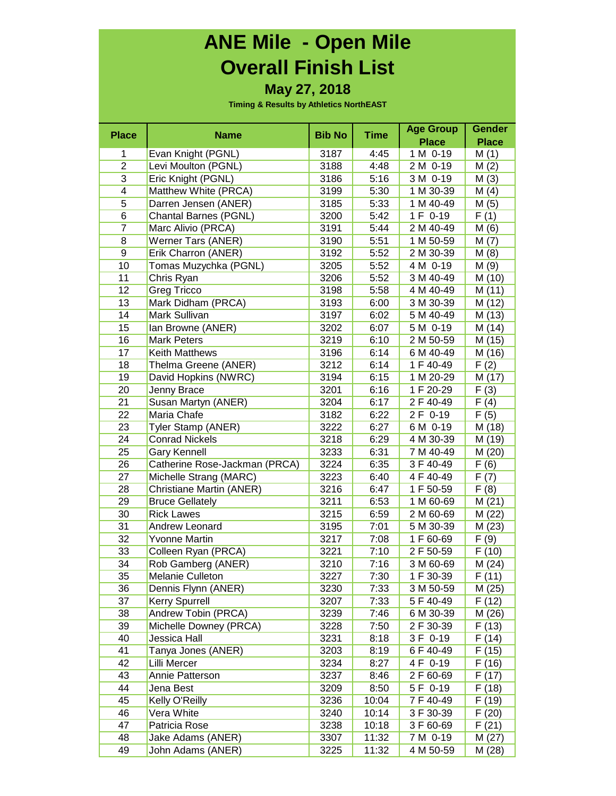## **ANE Mile - Open Mile Overall Finish List**

#### **May 27, 2018**

| <b>Place</b>   |                                       | <b>Bib No</b> | <b>Time</b> | <b>Age Group</b>       | <b>Gender</b> |
|----------------|---------------------------------------|---------------|-------------|------------------------|---------------|
|                | <b>Name</b>                           |               |             | <b>Place</b>           | <b>Place</b>  |
| 1              | Evan Knight (PGNL)                    | 3187          | 4:45        | 1 M 0-19               | M(1)          |
| $\overline{c}$ | Levi Moulton (PGNL)                   | 3188          | 4:48        | 2 M 0-19               | M(2)          |
| 3              | Eric Knight (PGNL)                    | 3186          | 5:16        | 3 M 0-19               | M(3)          |
| 4              | Matthew White (PRCA)                  | 3199          | 5:30        | 1 M 30-39              | M(4)          |
| 5              | Darren Jensen (ANER)                  | 3185          | 5:33        | 1 M 40-49              | M(5)          |
| 6              | <b>Chantal Barnes (PGNL)</b>          | 3200          | 5:42        | 1 F 0-19               | F(1)          |
| $\overline{7}$ | Marc Alivio (PRCA)                    | 3191          | 5:44        | 2 M 40-49              | M(6)          |
| 8              | Werner Tars (ANER)                    | 3190          | 5:51        | 1 M 50-59              | M(7)          |
| 9              | Erik Charron (ANER)                   | 3192          | 5:52        | 2 M 30-39              | M(8)          |
| 10             | Tomas Muzychka (PGNL)                 | 3205          | 5:52        | 4 M 0-19               | M (9)         |
| 11             | Chris Ryan                            | 3206          | 5:52        | 3 M 40-49              | M (10)        |
| 12             | Greg Tricco                           | 3198          | 5:58        | 4 M 40-49              | M (11)        |
| 13             | Mark Didham (PRCA)                    | 3193          | 6:00        | 3 M 30-39              | M (12)        |
| 14             | Mark Sullivan                         | 3197          | 6:02        | 5 M 40-49              | M (13)        |
| 15             | Ian Browne (ANER)                     | 3202          | 6:07        | 5 M 0-19               | M (14)        |
| 16             | <b>Mark Peters</b>                    | 3219          | 6:10        | 2 M 50-59              | M (15)        |
| 17             | Keith Matthews                        | 3196          | 6:14        | 6 M 40-49              | M (16)        |
| 18             | Thelma Greene (ANER)                  | 3212          | 6:14        | 1 F 40-49              | F(2)          |
| 19             | David Hopkins (NWRC)                  | 3194          | 6:15        | 1 M 20-29              | M (17)        |
| 20             | Jenny Brace                           | 3201          | 6:16        | 1 F 20-29              | F(3)          |
| 21             | Susan Martyn (ANER)                   | 3204          | 6:17        | 2 F 40-49              | F(4)          |
| 22             | Maria Chafe                           | 3182          | 6:22        | 2 F 0-19               | F(5)          |
| 23             | Tyler Stamp (ANER)                    | 3222          | 6:27        | 6 M 0-19               | M (18)        |
| 24             | <b>Conrad Nickels</b>                 | 3218          | 6:29        | 4 M 30-39              | M (19)        |
| 25             | <b>Gary Kennell</b>                   | 3233          | 6:31        | 7 M 40-49              | M (20)        |
| 26             | Catherine Rose-Jackman (PRCA)         | 3224          | 6:35        | 3 F 40-49              | F(6)          |
| 27             | Michelle Strang (MARC)                | 3223          | 6:40        | 4 F 40-49              | F(7)          |
| 28             | Christiane Martin (ANER)              | 3216          | 6:47        | 1 F 50-59              | F(8)          |
| 29             | <b>Bruce Gellately</b>                | 3211          | 6:53        | 1 M 60-69              | M(21)         |
| 30             | <b>Rick Lawes</b>                     | 3215          | 6:59        | 2 M 60-69              | M (22)        |
| 31             | Andrew Leonard                        | 3195          | 7:01        | 5 M 30-39              | M(23)         |
| 32             | Yvonne Martin                         | 3217          | 7:08        | 1 F 60-69              | F(9)          |
| 33             | Colleen Ryan (PRCA)                   | 3221          | 7:10        | 2 F 50-59              | F(10)         |
| 34             | Rob Gamberg (ANER)                    | 3210          | 7:16        | 3 M 60-69              | M(24)         |
|                | Melanie Culleton                      | 3227          |             | 1 F 30-39              | F(11)         |
| 35             |                                       |               | 7:30        |                        |               |
| 36<br>37       | Dennis Flynn (ANER)                   | 3230<br>3207  | 7:33        | 3 M 50-59<br>5 F 40-49 | M (25)        |
|                | Kerry Spurrell<br>Andrew Tobin (PRCA) |               | 7:33        |                        | F (12)        |
| 38             |                                       | 3239          | 7:46        | 6 M 30-39              | M (26)        |
| 39<br>40       | Michelle Downey (PRCA)                | 3228          | 7:50        | 2 F 30-39              | F(13)         |
|                | Jessica Hall                          | 3231          | 8:18        | 3 F 0-19               | F (14)        |
| 41             | Tanya Jones (ANER)                    | 3203          | 8:19        | 6 F 40-49              | F (15)        |
| 42             | Lilli Mercer                          | 3234          | 8:27        | 4 F 0-19               | F(16)         |
| 43             | Annie Patterson                       | 3237          | 8:46        | 2 F 60-69              | F(17)         |
| 44             | Jena Best                             | 3209          | 8:50        | 5 F 0-19               | F(18)         |
| 45             | Kelly O'Reilly                        | 3236          | 10:04       | 7 F 40-49              | F(19)         |
| 46             | Vera White                            | 3240          | 10:14       | 3 F 30-39              | F(20)         |
| 47             | Patricia Rose                         | 3238          | 10:18       | 3 F 60-69              | F(21)         |
| 48             | Jake Adams (ANER)                     | 3307          | 11:32       | 7 M 0-19               | M (27)        |
| 49             | John Adams (ANER)                     | 3225          | 11:32       | 4 M 50-59              | M (28)        |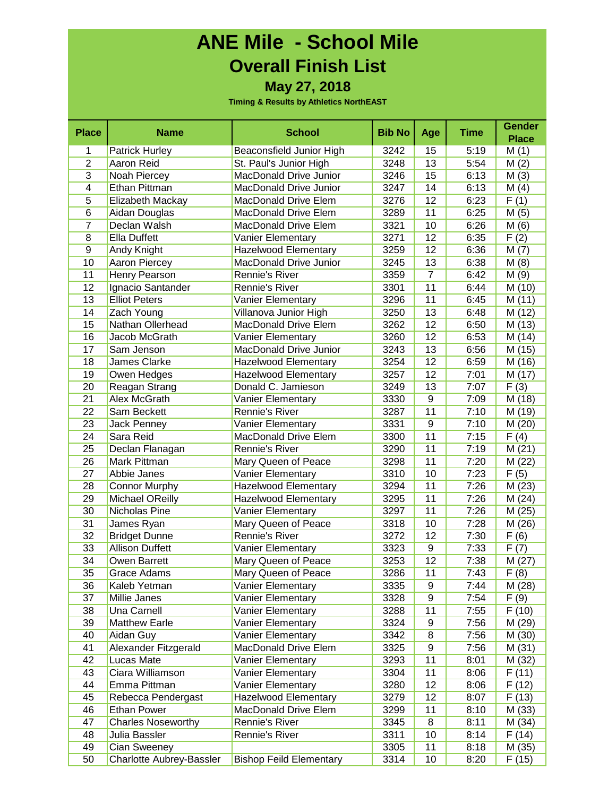### **ANE Mile - School Mile Overall Finish List May 27, 2018**

| <b>Place</b>   | <b>Name</b>               | <b>School</b>                  | <b>Bib No</b> | Age            | <b>Time</b> | <b>Gender</b>      |
|----------------|---------------------------|--------------------------------|---------------|----------------|-------------|--------------------|
|                |                           |                                |               |                |             | <b>Place</b>       |
| 1              | <b>Patrick Hurley</b>     | Beaconsfield Junior High       | 3242          | 15             | 5:19        | M(1)               |
| $\overline{2}$ | Aaron Reid                | St. Paul's Junior High         | 3248          | 13             | 5:54        | M(2)               |
| $\overline{3}$ | Noah Piercey              | <b>MacDonald Drive Junior</b>  | 3246          | 15             | 6:13        | M(3)               |
| 4              | Ethan Pittman             | <b>MacDonald Drive Junior</b>  | 3247          | 14             | 6:13        | M(4)               |
| 5              | Elizabeth Mackay          | MacDonald Drive Elem           | 3276          | 12             | 6:23        | F(1)               |
| 6              | Aidan Douglas             | <b>MacDonald Drive Elem</b>    | 3289          | 11             | 6:25        | M(5)               |
| $\overline{7}$ | Declan Walsh              | <b>MacDonald Drive Elem</b>    | 3321          | 10             | 6:26        | M(6)               |
| 8              | Ella Duffett              | Vanier Elementary              | 3271          | 12             | 6:35        | F(2)               |
| 9              | Andy Knight               | <b>Hazelwood Elementary</b>    | 3259          | 12             | 6:36        | M(7)               |
| 10             | Aaron Piercey             | <b>MacDonald Drive Junior</b>  | 3245          | 13             | 6:38        | M(8)               |
| 11             | Henry Pearson             | Rennie's River                 | 3359          | $\overline{7}$ | 6:42        | M(9)               |
| 12             | Ignacio Santander         | <b>Rennie's River</b>          | 3301          | 11             | 6:44        | M (10)             |
| 13             | <b>Elliot Peters</b>      | Vanier Elementary              | 3296          | 11             | 6:45        | M(11)              |
| 14             | Zach Young                | Villanova Junior High          | 3250          | 13             | 6:48        | M (12)             |
| 15             | Nathan Ollerhead          | <b>MacDonald Drive Elem</b>    | 3262          | 12             | 6:50        | M (13)             |
| 16             | Jacob McGrath             | <b>Vanier Elementary</b>       | 3260          | 12             | 6:53        | M (14)             |
| 17             | Sam Jenson                | MacDonald Drive Junior         | 3243          | 13             | 6:56        | M (15)             |
| 18             | James Clarke              | <b>Hazelwood Elementary</b>    | 3254          | 12             | 6:59        | M (16)             |
| 19             | Owen Hedges               | <b>Hazelwood Elementary</b>    | 3257          | 12             | 7:01        | M (17)             |
| 20             | Reagan Strang             | Donald C. Jamieson             | 3249          | 13             | 7:07        | F(3)               |
| 21             | Alex McGrath              | Vanier Elementary              | 3330          | 9              | 7:09        | M (18)             |
| 22             | Sam Beckett               | Rennie's River                 | 3287          | 11             | 7:10        | M (19)             |
| 23             | Jack Penney               | Vanier Elementary              | 3331          | 9              | 7:10        | M(20)              |
| 24             | Sara Reid                 | <b>MacDonald Drive Elem</b>    | 3300          | 11             | 7:15        | F(4)               |
| 25             | Declan Flanagan           | Rennie's River                 | 3290          | 11             | 7:19        | M(21)              |
| 26             | Mark Pittman              | Mary Queen of Peace            | 3298          | 11             | 7:20        | M (22)             |
| 27             | Abbie Janes               | Vanier Elementary              | 3310          | 10             | 7:23        | F(5)               |
| 28             | <b>Connor Murphy</b>      | <b>Hazelwood Elementary</b>    | 3294          | 11             | 7:26        | M(23)              |
| 29             | <b>Michael OReilly</b>    | <b>Hazelwood Elementary</b>    | 3295          | 11             | 7:26        | M(24)              |
| 30             | Nicholas Pine             | Vanier Elementary              | 3297          | 11             | 7:26        | $\overline{M(25)}$ |
| 31             | James Ryan                | Mary Queen of Peace            | 3318          | 10             | 7:28        | M (26)             |
| 32             | <b>Bridget Dunne</b>      | Rennie's River                 | 3272          | 12             | 7:30        | F(6)               |
| 33             | <b>Allison Duffett</b>    | Vanier Elementary              | 3323          | 9              | 7:33        | F(7)               |
| 34             | Owen Barrett              | Mary Queen of Peace            | 3253          | 12             | 7:38        | M(27)              |
| 35             | Grace Adams               | Mary Queen of Peace            | 3286          | 11             | 7:43        | $\overline{F(8)}$  |
| 36             | Kaleb Yetman              | <b>Vanier Elementary</b>       | 3335          | 9              | 7:44        | M (28)             |
| 37             | Millie Janes              | Vanier Elementary              | 3328          | 9              | 7:54        | F (9)              |
| 38             | Una Carnell               | Vanier Elementary              | 3288          | 11             | 7:55        | F (10)             |
| 39             | <b>Matthew Earle</b>      | Vanier Elementary              | 3324          | 9              | 7:56        | M (29)             |
| 40             | Aidan Guy                 | Vanier Elementary              | 3342          | 8              | 7:56        | M (30)             |
| 41             | Alexander Fitzgerald      | MacDonald Drive Elem           | 3325          | 9              | 7:56        | M(31)              |
| 42             | Lucas Mate                | Vanier Elementary              | 3293          | 11             | 8:01        | M (32)             |
| 43             | Ciara Williamson          | Vanier Elementary              | 3304          | 11             | 8:06        | F(11)              |
| 44             | Emma Pittman              | Vanier Elementary              | 3280          | 12             | 8:06        | F(12)              |
| 45             | Rebecca Pendergast        | <b>Hazelwood Elementary</b>    | 3279          | 12             | 8:07        | F(13)              |
| 46             | <b>Ethan Power</b>        | MacDonald Drive Elem           | 3299          | 11             | 8:10        | M (33)             |
| 47             | <b>Charles Noseworthy</b> | Rennie's River                 | 3345          | 8              | 8:11        | M (34)             |
| 48             | Julia Bassler             | Rennie's River                 | 3311          | 10             | 8:14        | F (14)             |
| 49             | Cian Sweeney              |                                | 3305          | 11             | 8:18        | M (35)             |
| 50             | Charlotte Aubrey-Bassler  | <b>Bishop Feild Elementary</b> | 3314          | 10             | 8:20        | F (15)             |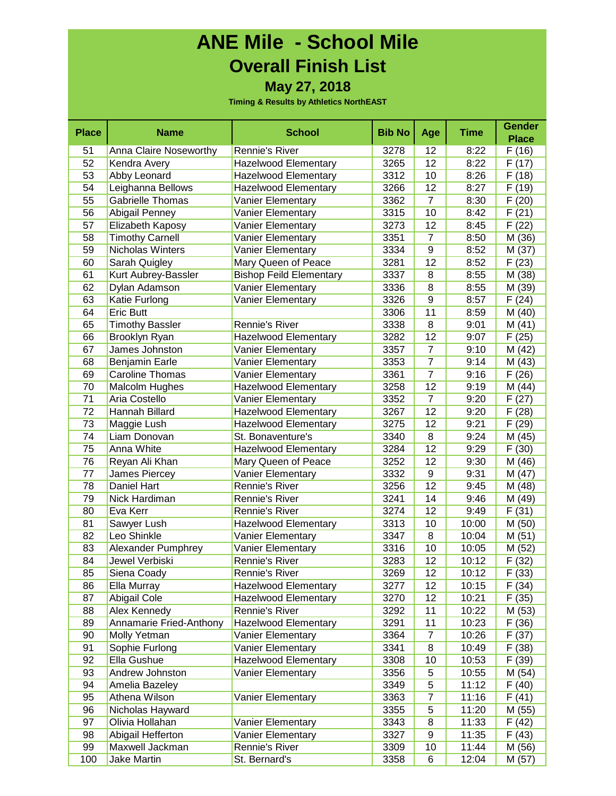### **ANE Mile - School Mile Overall Finish List May 27, 2018**

| <b>Place</b> | <b>Name</b>             | <b>School</b>                  | <b>Bib No</b> | Age            | <b>Time</b> | <b>Gender</b> |
|--------------|-------------------------|--------------------------------|---------------|----------------|-------------|---------------|
|              |                         |                                |               |                |             | <b>Place</b>  |
| 51           | Anna Claire Noseworthy  | Rennie's River                 | 3278          | 12             | 8:22        | F(16)         |
| 52           | Kendra Avery            | <b>Hazelwood Elementary</b>    | 3265          | 12             | 8:22        | F (17)        |
| 53           | Abby Leonard            | <b>Hazelwood Elementary</b>    | 3312          | 10             | 8:26        | F(18)         |
| 54           | Leighanna Bellows       | <b>Hazelwood Elementary</b>    | 3266          | 12             | 8:27        | F(19)         |
| 55           | Gabrielle Thomas        | <b>Vanier Elementary</b>       | 3362          | $\overline{7}$ | 8:30        | F(20)         |
| 56           | Abigail Penney          | Vanier Elementary              | 3315          | 10             | 8:42        | F(21)         |
| 57           | Elizabeth Kaposy        | Vanier Elementary              | 3273          | 12             | 8:45        | F (22)        |
| 58           | <b>Timothy Carnell</b>  | Vanier Elementary              | 3351          | $\overline{7}$ | 8:50        | M (36)        |
| 59           | Nicholas Winters        | Vanier Elementary              | 3334          | 9              | 8:52        | M (37)        |
| 60           | Sarah Quigley           | Mary Queen of Peace            | 3281          | 12             | 8:52        | F(23)         |
| 61           | Kurt Aubrey-Bassler     | <b>Bishop Feild Elementary</b> | 3337          | 8              | 8:55        | M (38)        |
| 62           | Dylan Adamson           | Vanier Elementary              | 3336          | 8              | 8:55        | M (39)        |
| 63           | Katie Furlong           | Vanier Elementary              | 3326          | 9              | 8:57        | F(24)         |
| 64           | Eric Butt               |                                | 3306          | 11             | 8:59        | M (40)        |
| 65           | <b>Timothy Bassler</b>  | Rennie's River                 | 3338          | 8              | 9:01        | M(41)         |
| 66           | Brooklyn Ryan           | <b>Hazelwood Elementary</b>    | 3282          | 12             | 9:07        | F(25)         |
| 67           | James Johnston          | Vanier Elementary              | 3357          | $\overline{7}$ | 9:10        | M (42)        |
| 68           | Benjamin Earle          | Vanier Elementary              | 3353          | $\overline{7}$ | 9:14        | M (43)        |
| 69           | Caroline Thomas         | Vanier Elementary              | 3361          | $\overline{7}$ | 9:16        | F(26)         |
| 70           | Malcolm Hughes          | <b>Hazelwood Elementary</b>    | 3258          | 12             | 9:19        | M (44)        |
| 71           | Aria Costello           | Vanier Elementary              | 3352          | $\overline{7}$ | 9:20        | F(27)         |
| 72           | Hannah Billard          | <b>Hazelwood Elementary</b>    | 3267          | 12             | 9:20        | F (28)        |
| 73           | Maggie Lush             | <b>Hazelwood Elementary</b>    | 3275          | 12             | 9:21        | F (29)        |
| 74           | Liam Donovan            | St. Bonaventure's              | 3340          | 8              | 9:24        | M (45)        |
| 75           | Anna White              | <b>Hazelwood Elementary</b>    | 3284          | 12             | 9:29        | F(30)         |
| 76           | Reyan Ali Khan          | Mary Queen of Peace            | 3252          | 12             | 9:30        | M (46)        |
| 77           | James Piercey           | Vanier Elementary              | 3332          | 9              | 9:31        | M(47)         |
| 78           | Daniel Hart             | Rennie's River                 | 3256          | 12             | 9:45        | M (48)        |
| 79           | Nick Hardiman           | <b>Rennie's River</b>          | 3241          | 14             | 9:46        | M (49)        |
| 80           | Eva Kerr                | Rennie's River                 | 3274          | 12             | 9:49        | F(31)         |
| 81           | Sawyer Lush             | <b>Hazelwood Elementary</b>    | 3313          | 10             | 10:00       | M (50)        |
| 82           | Leo Shinkle             | <b>Vanier Elementary</b>       | 3347          | 8              | 10:04       | M(51)         |
| 83           | Alexander Pumphrey      | Vanier Elementary              | 3316          | 10             | 10:05       | M (52)        |
| 84           | Jewel Verbiski          | Rennie's River                 | 3283          | 12             | 10:12       | F(32)         |
| 85           | Siena Coady             | <b>Rennie's River</b>          | 3269          | 12             | 10:12       | F(33)         |
| 86           | Ella Murray             | <b>Hazelwood Elementary</b>    | 3277          | 12             | 10:15       | F(34)         |
| 87           | Abigail Cole            | <b>Hazelwood Elementary</b>    | 3270          | 12             | 10:21       | F(35)         |
| 88           | Alex Kennedy            | Rennie's River                 | 3292          | 11             | 10:22       | M (53)        |
| 89           | Annamarie Fried-Anthony | <b>Hazelwood Elementary</b>    | 3291          | 11             | 10:23       | F(36)         |
| 90           | Molly Yetman            | Vanier Elementary              | 3364          | 7              | 10:26       | F(37)         |
| 91           | Sophie Furlong          | Vanier Elementary              | 3341          | 8              | 10:49       | F(38)         |
| 92           | Ella Gushue             | <b>Hazelwood Elementary</b>    | 3308          | 10             | 10:53       | F (39)        |
| 93           | Andrew Johnston         | Vanier Elementary              | 3356          | 5              | 10:55       | M (54)        |
| 94           | Amelia Bazeley          |                                | 3349          | 5              | 11:12       | F(40)         |
| 95           | Athena Wilson           | Vanier Elementary              | 3363          | $\overline{7}$ | 11:16       | F(41)         |
| 96           | Nicholas Hayward        |                                | 3355          | 5              | 11:20       | M (55)        |
| 97           | Olivia Hollahan         | Vanier Elementary              | 3343          | 8              | 11:33       | F (42)        |
| 98           | Abigail Hefferton       | Vanier Elementary              | 3327          | 9              | 11:35       | F(43)         |
| 99           | Maxwell Jackman         | Rennie's River                 | 3309          | 10             | 11:44       | M (56)        |
| 100          | Jake Martin             | St. Bernard's                  | 3358          | 6              | 12:04       | M (57)        |